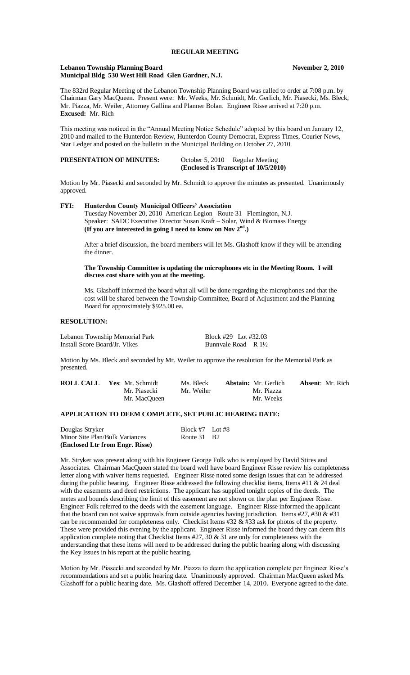#### **REGULAR MEETING**

#### **Lebanon Township Planning Board November 2, 2010 Municipal Bldg 530 West Hill Road Glen Gardner, N.J.**

The 832rd Regular Meeting of the Lebanon Township Planning Board was called to order at 7:08 p.m. by Chairman Gary MacQueen. Present were: Mr. Weeks, Mr. Schmidt, Mr. Gerlich, Mr. Piasecki, Ms. Bleck, Mr. Piazza, Mr. Weiler, Attorney Gallina and Planner Bolan. Engineer Risse arrived at 7:20 p.m. **Excused:** Mr. Rich

This meeting was noticed in the "Annual Meeting Notice Schedule" adopted by this board on January 12, 2010 and mailed to the Hunterdon Review, Hunterdon County Democrat, Express Times, Courier News, Star Ledger and posted on the bulletin in the Municipal Building on October 27, 2010.

|                                 | (Enclosed is Transcript of 10/5/2010) |
|---------------------------------|---------------------------------------|
| <b>PRESENTATION OF MINUTES:</b> | October 5, 2010 Regular Meeting       |

Motion by Mr. Piasecki and seconded by Mr. Schmidt to approve the minutes as presented. Unanimously approved.

## **FYI: Hunterdon County Municipal Officers' Association**

Tuesday November 20, 2010 American Legion Route 31 Flemington, N.J. Speaker: SADC Executive Director Susan Kraft – Solar, Wind & Biomass Energy **(If you are interested in going I need to know on Nov 2nd.)** 

After a brief discussion, the board members will let Ms. Glashoff know if they will be attending the dinner.

#### **The Township Committee is updating the microphones etc in the Meeting Room. I will discuss cost share with you at the meeting.**

Ms. Glashoff informed the board what all will be done regarding the microphones and that the cost will be shared between the Township Committee, Board of Adjustment and the Planning Board for approximately \$925.00 ea.

#### **RESOLUTION:**

Lebanon Township Memorial Park Block #29 Lot #32.03 Install Score Board/Jr. Vikes Bunnvale Road R 1½

Motion by Ms. Bleck and seconded by Mr. Weiler to approve the resolution for the Memorial Park as presented.

| <b>ROLL CALL Yes:</b> Mr. Schmidt | Ms. Bleck  | <b>Abstain:</b> Mr. Gerlich | <b>Absent:</b> Mr. Rich |
|-----------------------------------|------------|-----------------------------|-------------------------|
| Mr. Piasecki                      | Mr. Weiler | Mr. Piazza                  |                         |
| Mr. MacOueen                      |            | Mr. Weeks                   |                         |

# **APPLICATION TO DEEM COMPLETE, SET PUBLIC HEARING DATE:**

| Douglas Stryker                 | Block #7 Lot #8 |  |
|---------------------------------|-----------------|--|
| Minor Site Plan/Bulk Variances  | Route 31 B2     |  |
| (Enclosed Ltr from Engr. Risse) |                 |  |

Mr. Stryker was present along with his Engineer George Folk who is employed by David Stires and Associates. Chairman MacQueen stated the board well have board Engineer Risse review his completeness letter along with waiver items requested. Engineer Risse noted some design issues that can be addressed during the public hearing. Engineer Risse addressed the following checklist items, Items #11 & 24 deal with the easements and deed restrictions. The applicant has supplied tonight copies of the deeds. The metes and bounds describing the limit of this easement are not shown on the plan per Engineer Risse. Engineer Folk referred to the deeds with the easement language. Engineer Risse informed the applicant that the board can not waive approvals from outside agencies having jurisdiction. Items #27, #30  $\&$  #31 can be recommended for completeness only. Checklist Items #32 & #33 ask for photos of the property. These were provided this evening by the applicant. Engineer Risse informed the board they can deem this application complete noting that Checklist Items  $#27$ , 30  $\&$  31 are only for completeness with the understanding that these items will need to be addressed during the public hearing along with discussing the Key Issues in his report at the public hearing.

Motion by Mr. Piasecki and seconded by Mr. Piazza to deem the application complete per Engineer Risse's recommendations and set a public hearing date. Unanimously approved. Chairman MacQueen asked Ms. Glashoff for a public hearing date. Ms. Glashoff offered December 14, 2010. Everyone agreed to the date.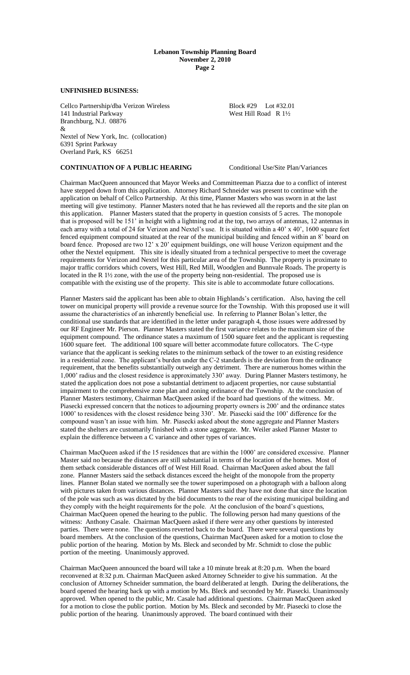#### **Lebanon Township Planning Board November 2, 2010 Page 2**

### **UNFINISHED BUSINESS:**

Cellco Partnership/dba Verizon Wireless Block #29 Lot #32.01<br>141 Industrial Parkway West Hill Road R 1½ 141 Industrial Parkway Branchburg, N.J. 08876 & Nextel of New York, Inc. (collocation) 6391 Sprint Parkway Overland Park, KS 66251

**CONTINUATION OF A PUBLIC HEARING** Conditional Use/Site Plan/Variances

Chairman MacQueen announced that Mayor Weeks and Committeeman Piazza due to a conflict of interest have stepped down from this application. Attorney Richard Schneider was present to continue with the application on behalf of Cellco Partnership. At this time, Planner Masters who was sworn in at the last meeting will give testimony. Planner Masters noted that he has reviewed all the reports and the site plan on this application. Planner Masters stated that the property in question consists of 5 acres. The monopole that is proposed will be 151' in height with a lightning rod at the top, two arrays of antennas, 12 antennas in each array with a total of 24 for Verizon and Nextel's use. It is situated within a 40' x 40', 1600 square feet fenced equipment compound situated at the rear of the municipal building and fenced within an 8' board on board fence. Proposed are two 12' x 20' equipment buildings, one will house Verizon equipment and the other the Nextel equipment. This site is ideally situated from a technical perspective to meet the coverage requirements for Verizon and Nextel for this particular area of the Township. The property is proximate to major traffic corridors which covers, West Hill, Red Mill, Woodglen and Bunnvale Roads. The property is located in the R 1<sup>1</sup>/<sub>2</sub> zone, with the use of the property being non-residential. The proposed use is compatible with the existing use of the property. This site is able to accommodate future collocations.

Planner Masters said the applicant has been able to obtain Highlands's certification. Also, having the cell tower on municipal property will provide a revenue source for the Township. With this proposed use it will assume the characteristics of an inherently beneficial use. In referring to Planner Bolan's letter, the conditional use standards that are identified in the letter under paragraph 4, those issues were addressed by our RF Engineer Mr. Pierson. Planner Masters stated the first variance relates to the maximum size of the equipment compound. The ordinance states a maximum of 1500 square feet and the applicant is requesting 1600 square feet. The additional 100 square will better accommodate future collocators. The C-type variance that the applicant is seeking relates to the minimum setback of the tower to an existing residence in a residential zone. The applicant's burden under the C-2 standards is the deviation from the ordinance requirement, that the benefits substantially outweigh any detriment. There are numerous homes within the 1,000' radius and the closest residence is approximately 330' away. During Planner Masters testimony, he stated the application does not pose a substantial detriment to adjacent properties, nor cause substantial impairment to the comprehensive zone plan and zoning ordinance of the Township. At the conclusion of Planner Masters testimony, Chairman MacQueen asked if the board had questions of the witness. Mr. Piasecki expressed concern that the notices to adjourning property owners is 200' and the ordinance states 1000' to residences with the closest residence being 330'. Mr. Piasecki said the 100' difference for the compound wasn't an issue with him. Mr. Piasecki asked about the stone aggregate and Planner Masters stated the shelters are customarily finished with a stone aggregate. Mr. Weiler asked Planner Master to explain the difference between a C variance and other types of variances.

Chairman MacQueen asked if the 15 residences that are within the 1000' are considered excessive. Planner Master said no because the distances are still substantial in terms of the location of the homes. Most of them setback considerable distances off of West Hill Road. Chairman MacQueen asked about the fall zone. Planner Masters said the setback distances exceed the height of the monopole from the property lines. Planner Bolan stated we normally see the tower superimposed on a photograph with a balloon along with pictures taken from various distances. Planner Masters said they have not done that since the location of the pole was such as was dictated by the bid documents to the rear of the existing municipal building and they comply with the height requirements for the pole. At the conclusion of the board's questions, Chairman MacQueen opened the hearing to the public. The following person had many questions of the witness: Anthony Casale. Chairman MacQueen asked if there were any other questions by interested parties. There were none. The questions reverted back to the board. There were several questions by board members. At the conclusion of the questions, Chairman MacQueen asked for a motion to close the public portion of the hearing. Motion by Ms. Bleck and seconded by Mr. Schmidt to close the public portion of the meeting. Unanimously approved.

Chairman MacQueen announced the board will take a 10 minute break at 8:20 p.m. When the board reconvened at 8:32 p.m. Chairman MacQueen asked Attorney Schneider to give his summation. At the conclusion of Attorney Schneider summation, the board deliberated at length. During the deliberations, the board opened the hearing back up with a motion by Ms. Bleck and seconded by Mr. Piasecki. Unanimously approved. When opened to the public, Mr. Casale had additional questions. Chairman MacQueen asked for a motion to close the public portion. Motion by Ms. Bleck and seconded by Mr. Piasecki to close the public portion of the hearing. Unanimously approved. The board continued with their